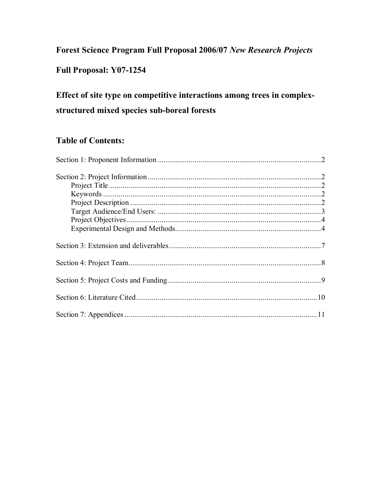# Forest Science Program Full Proposal 2006/07 New Research Projects

# Full Proposal: Y07-1254

# Effect of site type on competitive interactions among trees in complexstructured mixed species sub-boreal forests

# **Table of Contents:**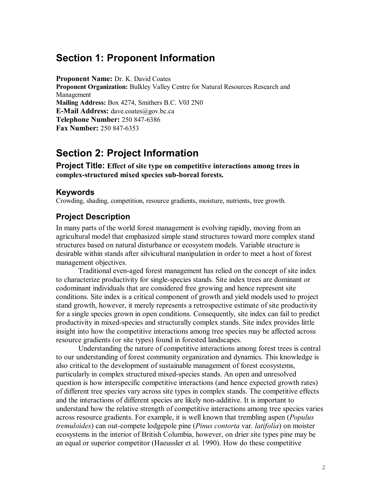# **Section 1: Proponent Information**

**Proponent Name:** Dr. K. David Coates **Proponent Organization:** Bulkley Valley Centre for Natural Resources Research and Management **Mailing Address:** Box 4274, Smithers B.C. V0J 2N0 **E-Mail Address:** dave.coates@gov.bc.ca **Telephone Number:** 250 847-6386 **Fax Number: 250 847-6353** 

# **Section 2: Project Information**

**Project Title: Effect of site type on competitive interactions among trees in complex-structured mixed species sub-boreal forests.** 

# **Keywords**

Crowding, shading, competition, resource gradients, moisture, nutrients, tree growth.

# **Project Description**

In many parts of the world forest management is evolving rapidly, moving from an agricultural model that emphasized simple stand structures toward more complex stand structures based on natural disturbance or ecosystem models. Variable structure is desirable within stands after silvicultural manipulation in order to meet a host of forest management objectives.

Traditional even-aged forest management has relied on the concept of site index to characterize productivity for single-species stands. Site index trees are dominant or codominant individuals that are considered free growing and hence represent site conditions. Site index is a critical component of growth and yield models used to project stand growth, however, it merely represents a retrospective estimate of site productivity for a single species grown in open conditions. Consequently, site index can fail to predict productivity in mixed-species and structurally complex stands. Site index provides little insight into how the competitive interactions among tree species may be affected across resource gradients (or site types) found in forested landscapes.

Understanding the nature of competitive interactions among forest trees is central to our understanding of forest community organization and dynamics. This knowledge is also critical to the development of sustainable management of forest ecosystems, particularly in complex structured mixed-species stands. An open and unresolved question is how interspecific competitive interactions (and hence expected growth rates) of different tree species vary across site types in complex stands. The competitive effects and the interactions of different species are likely non-additive. It is important to understand how the relative strength of competitive interactions among tree species varies across resource gradients. For example, it is well known that trembling aspen (*Populus tremuloides*) can out-compete lodgepole pine *(Pinus contorta var. latifolia)* on moister ecosystems in the interior of British Columbia, however, on drier site types pine may be an equal or superior competitor (Haeussler et al. 1990). How do these competitive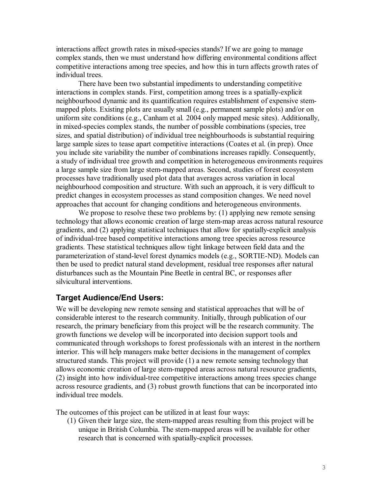interactions affect growth rates in mixed-species stands? If we are going to manage complex stands, then we must understand how differing environmental conditions affect competitive interactions among tree species, and how this in turn affects growth rates of individual trees.

There have been two substantial impediments to understanding competitive interactions in complex stands. First, competition among trees is a spatially-explicit neighbourhood dynamic and its quantification requires establishment of expensive stem mapped plots. Existing plots are usually small (e.g., permanent sample plots) and/or on uniform site conditions (e.g., Canham et al*.* 2004 only mapped mesic sites). Additionally, in mixed-species complex stands, the number of possible combinations (species, tree sizes, and spatial distribution) of individual tree neighbourhoods is substantial requiring large sample sizes to tease apart competitive interactions (Coates et al. (in prep). Once you include site variability the number of combinations increases rapidly. Consequently, a study of individual tree growth and competition in heterogeneous environments requires a large sample size from large stem-mapped areas. Second, studies of forest ecosystem processes have traditionally used plot data that averages across variation in local neighbourhood composition and structure. With such an approach, it is very difficult to predict changes in ecosystem processes as stand composition changes. We need novel approaches that account for changing conditions and heterogeneous environments.

We propose to resolve these two problems by: (1) applying new remote sensing technology that allows economic creation of large stemmap areas across natural resource gradients, and (2) applying statistical techniques that allow for spatially-explicit analysis of individual-tree based competitive interactions among tree species across resource gradients. These statistical techniques allow tight linkage between field data and the parameterization of stand-level forest dynamics models (e.g., SORTIE-ND). Models can then be used to predict natural stand development, residual tree responses after natural disturbances such as the Mountain Pine Beetle in central BC, or responses after silvicultural interventions.

# **Target Audience/End Users:**

We will be developing new remote sensing and statistical approaches that will be of considerable interest to the research community. Initially, through publication of our research, the primary beneficiary from this project will be the research community. The growth functions we develop will be incorporated into decision support tools and communicated through workshops to forest professionals with an interest in the northern interior. This will help managers make better decisions in the management of complex structured stands. This project will provide (1) a new remote sensing technology that allows economic creation of large stemmapped areas across natural resource gradients,  $(2)$  insight into how individual-tree competitive interactions among trees species change across resource gradients, and (3) robust growth functions that can be incorporated into individual tree models.

The outcomes of this project can be utilized in at least four ways:

(1) Given their large size, the stemmapped areas resulting from this project will be unique in British Columbia. The stem-mapped areas will be available for other research that is concerned with spatially-explicit processes.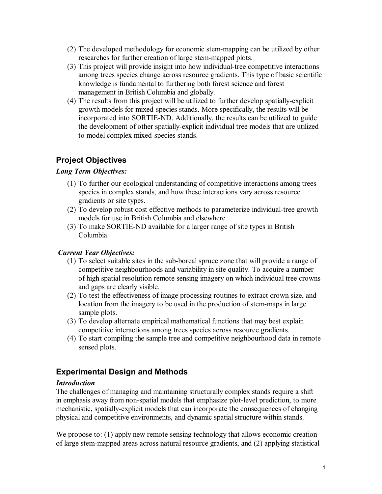- (2) The developed methodology for economic stemmapping can be utilized by other researches for further creation of large stem-mapped plots.
- (3) This project will provide insight into how individual-tree competitive interactions among trees species change across resource gradients. This type of basic scientific knowledge is fundamental to furthering both forest science and forest management in British Columbia and globally.
- (4) The results from this project will be utilized to further develop spatially-explicit growth models for mixed-species stands. More specifically, the results will be incorporated into SORTIE-ND. Additionally, the results can be utilized to guide the development of other spatially-explicit individual tree models that are utilized to model complex mixed-species stands.

# **Project Objectives**

# *Long Term Objectives:*

- (1) To further our ecological understanding of competitive interactions among trees species in complex stands, and how these interactions vary across resource gradients or site types.
- (2) To develop robust cost effective methods to parameterize individual-tree growth models for use in British Columbia and elsewhere
- (3) To make SORTIE-ND available for a larger range of site types in British Columbia.

# *Current Year Objectives:*

- $(1)$  To select suitable sites in the sub-boreal spruce zone that will provide a range of competitive neighbourhoods and variability in site quality. To acquire a number of high spatial resolution remote sensing imagery on which individual tree crowns and gaps are clearly visible.
- (2) To test the effectiveness of image processing routines to extract crown size, and location from the imagery to be used in the production of stem-maps in large sample plots.
- (3) To develop alternate empirical mathematical functions that may best explain competitive interactions among trees species across resource gradients.
- (4) To start compiling the sample tree and competitive neighbourhood data in remote sensed plots.

# **Experimental Design and Methods**

# *Introduction*

The challenges of managing and maintaining structurally complex stands require a shift in emphasis away from non-spatial models that emphasize plot-level prediction, to more mechanistic, spatially-explicit models that can incorporate the consequences of changing physical and competitive environments, and dynamic spatial structure within stands.

We propose to: (1) apply new remote sensing technology that allows economic creation of large stemmapped areas across natural resource gradients, and (2) applying statistical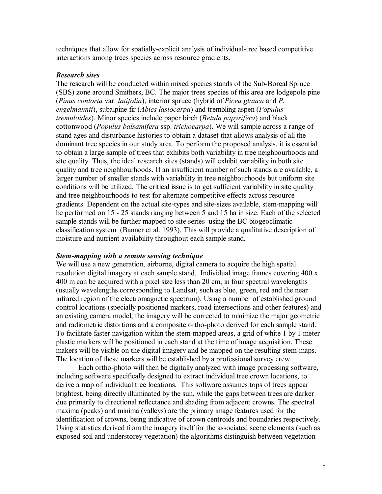techniques that allow for spatially-explicit analysis of individual-tree based competitive interactions among trees species across resource gradients.

#### *Research sites*

The research will be conducted within mixed species stands of the Sub-Boreal Spruce (SBS) zone around Smithers, BC. The major trees species of this area are lodgepole pine (*Pinus contorta* var. *latifolia*), interior spruce (hybrid of *Picea glauca* and *P. engelmannii*), subalpine fir (*Abies lasiocarpa*) and trembling aspen (*Populus tremuloides*). Minor species include paper birch (*Betula papyrifera*) and black cottonwood (*Populus balsamifera* ssp. *trichocarpa*). We will sample across a range of stand ages and disturbance histories to obtain a dataset that allows analysis of all the dominant tree species in our study area. To perform the proposed analysis, it is essential to obtain a large sample of trees that exhibits both variability in tree neighbourhoods and site quality. Thus, the ideal research sites (stands) will exhibit variability in both site quality and tree neighbourhoods. If an insufficient number of such stands are available, a larger number of smaller stands with variability in tree neighbourhoods but uniform site conditions will be utilized. The critical issue is to get sufficient variability in site quality and tree neighbourhoods to test for alternate competitive effects across resource gradients. Dependent on the actual site-types and site-sizes available, stem-mapping will be performed on 15 25 stands ranging between 5 and 15 ha in size. Each of the selected sample stands will be further mapped to site series using the BC biogeoclimatic classification system (Banner et al. 1993). This will provide a qualitative description of moisture and nutrient availability throughout each sample stand.

## *Stem-mapping with a remote sensing technique*

We will use a new generation, airborne, digital camera to acquire the high spatial resolution digital imagery at each sample stand. Individual image frames covering 400 x 400 m can be acquired with a pixel size less than 20 cm, in four spectral wavelengths (usually wavelengths corresponding to Landsat, such as blue, green, red and the near infrared region of the electromagnetic spectrum). Using a number of established ground control locations (specially positioned markers, road intersections and other features) and an existing camera model, the imagery will be corrected to minimize the major geometric and radiometric distortions and a composite ortho-photo derived for each sample stand. To facilitate faster navigation within the stem-mapped areas, a grid of white 1 by 1 meter plastic markers will be positioned in each stand at the time of image acquisition. These makers will be visible on the digital imagery and be mapped on the resulting stem-maps. The location of these markers will be established by a professional survey crew.

Each ortho-photo will then be digitally analyzed with image processing software, including software specifically designed to extract individual tree crown locations, to derive a map of individual tree locations. This software assumes tops of trees appear brightest, being directly illuminated by the sun, while the gaps between trees are darker due primarily to directional reflectance and shading from adjacent crowns. The spectral maxima (peaks) and minima (valleys) are the primary image features used for the identification of crowns, being indicative of crown centroids and boundaries respectively. Using statistics derived from the imagery itself for the associated scene elements (such as exposed soil and understorey vegetation) the algorithms distinguish between vegetation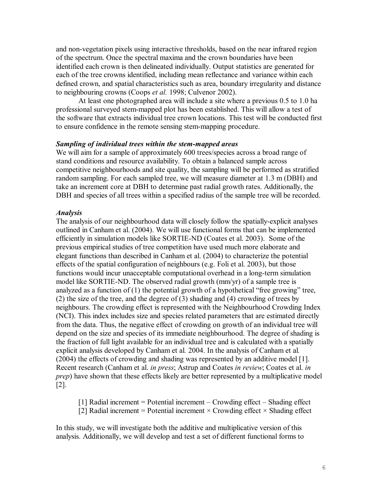and non-vegetation pixels using interactive thresholds, based on the near infrared region of the spectrum. Once the spectral maxima and the crown boundaries have been identified each crown is then delineated individually. Output statistics are generated for each of the tree crowns identified, including mean reflectance and variance within each defined crown, and spatial characteristics such as area, boundary irregularity and distance to neighbouring crowns (Coops *et al.* 1998; Culvenor 2002).

At least one photographed area will include a site where a previous 0.5 to 1.0 ha professional surveyed stemmapped plot has been established. This will allow a test of the software that extracts individual tree crown locations. This test will be conducted first to ensure confidence in the remote sensing stem-mapping procedure.

#### *Sampling of individual trees within the stemmapped areas*

We will aim for a sample of approximately 600 trees/species across a broad range of stand conditions and resource availability. To obtain a balanced sample across competitive neighbourhoods and site quality, the sampling will be performed as stratified random sampling. For each sampled tree, we will measure diameter at 1.3 m (DBH) and take an increment core at DBH to determine past radial growth rates. Additionally, the DBH and species of all trees within a specified radius of the sample tree will be recorded.

#### *Analysis*

The analysis of our neighbourhood data will closely follow the spatially-explicit analyses outlined in Canham et al. (2004). We will use functional forms that can be implemented efficiently in simulation models like SORTIE-ND (Coates et al. 2003). Some of the previous empirical studies of tree competition have used much more elaborate and elegant functions than described in Canham et al. (2004) to characterize the potential effects of the spatial configuration of neighbours (e.g. Foli et al. 2003), but those functions would incur unacceptable computational overhead in a long-term simulation model like SORTIE-ND. The observed radial growth (mm/yr) of a sample tree is analyzed as a function of (1) the potential growth of a hypothetical "free growing" tree, (2) the size of the tree, and the degree of (3) shading and (4) crowding of trees by neighbours. The crowding effect is represented with the Neighbourhood Crowding Index (NCI). This index includes size and species related parameters that are estimated directly from the data. Thus, the negative effect of crowding on growth of an individual tree will depend on the size and species of its immediate neighbourhood. The degree of shading is the fraction of full light available for an individual tree and is calculated with a spatially explicit analysis developed by Canham et al*.* 2004. In the analysis of Canham et al*.* (2004) the effects of crowding and shading was represented by an additive model [1]. Recent research (Canham et al. *in press*; Astrup and Coates *in review*; Coates et al. *in prep*) have shown that these effects likely are better represented by a multiplicative model [2].

[1] Radial increment = Potential increment – Crowding effect – Shading effect [2] Radial increment = Potential increment  $\times$  Crowding effect  $\times$  Shading effect

In this study, we will investigate both the additive and multiplicative version of this analysis. Additionally, we will develop and test a set of different functional forms to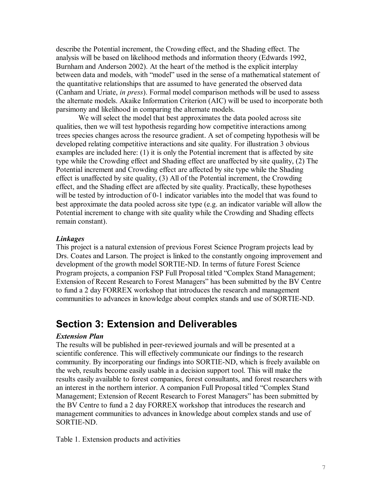describe the Potential increment, the Crowding effect, and the Shading effect. The analysis will be based on likelihood methods and information theory (Edwards 1992, Burnham and Anderson 2002). At the heart of the method is the explicit interplay between data and models, with "model" used in the sense of a mathematical statement of the quantitative relationships that are assumed to have generated the observed data (Canham and Uriate, *in press*). Formal model comparison methods will be used to assess the alternate models. Akaike Information Criterion (AIC) will be used to incorporate both parsimony and likelihood in comparing the alternate models.

We will select the model that best approximates the data pooled across site qualities, then we will test hypothesis regarding how competitive interactions among trees species changes across the resource gradient. A set of competing hypothesis will be developed relating competitive interactions and site quality. For illustration 3 obvious examples are included here: (1) it is only the Potential increment that is affected by site type while the Crowding effect and Shading effect are unaffected by site quality, (2) The Potential increment and Crowding effect are affected by site type while the Shading effect is unaffected by site quality, (3) All of the Potential increment, the Crowding effect, and the Shading effect are affected by site quality. Practically, these hypotheses will be tested by introduction of 0-1 indicator variables into the model that was found to best approximate the data pooled across site type (e.g. an indicator variable will allow the Potential increment to change with site quality while the Crowding and Shading effects remain constant).

## *Linkages*

This project is a natural extension of previous Forest Science Program projects lead by Drs. Coates and Larson. The project is linked to the constantly ongoing improvement and development of the growth model SORTIE-ND. In terms of future Forest Science Program projects, a companion FSP Full Proposal titled "Complex Stand Management; Extension of Recent Research to Forest Managers" has been submitted by the BV Centre to fund a 2 day FORREX workshop that introduces the research and management communities to advances in knowledge about complex stands and use of SORTIE-ND.

# **Section 3: Extension and Deliverables**

# *Extension Plan*

The results will be published in peer-reviewed journals and will be presented at a scientific conference. This will effectively communicate our findings to the research community. By incorporating our findings into SORTIE-ND, which is freely available on the web, results become easily usable in a decision support tool. This will make the results easily available to forest companies, forest consultants, and forest researchers with an interest in the northern interior. A companion Full Proposal titled "Complex Stand Management; Extension of Recent Research to Forest Managers" has been submitted by the BV Centre to fund a 2 day FORREX workshop that introduces the research and management communities to advances in knowledge about complex stands and use of SORTIE-ND.

Table 1. Extension products and activities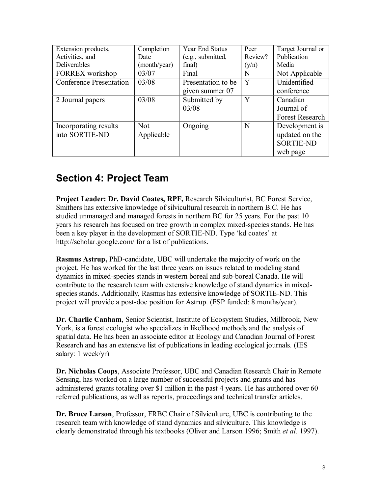| Extension products,<br>Activities, and<br>Deliverables | Completion<br>Date<br>(month/year) | Year End Status<br>(e.g., submitted,<br>final) | Peer<br>Review?<br>(y/n) | Target Journal or<br>Publication<br>Media                        |
|--------------------------------------------------------|------------------------------------|------------------------------------------------|--------------------------|------------------------------------------------------------------|
| <b>FORREX</b> workshop                                 | 03/07                              | Final                                          | N                        | Not Applicable                                                   |
| <b>Conference Presentation</b>                         | 03/08                              | Presentation to be<br>given summer 07          | Y                        | Unidentified<br>conference                                       |
| 2 Journal papers                                       | 03/08                              | Submitted by<br>03/08                          | Y                        | Canadian<br>Journal of<br><b>Forest Research</b>                 |
| Incorporating results<br>into SORTIE-ND                | <b>Not</b><br>Applicable           | Ongoing                                        | N                        | Development is<br>updated on the<br><b>SORTIE-ND</b><br>web page |

# **Section 4: Project Team**

**Project Leader: Dr. David Coates, RPF,** Research Silviculturist, BC Forest Service, Smithers has extensive knowledge of silvicultural research in northern B.C. He has studied unmanaged and managed forests in northern BC for 25 years. For the past 10 years his research has focused on tree growth in complex mixed-species stands. He has been a key player in the development of SORTIE-ND. Type 'kd coates' at http://scholar.google.com/ for a list of publications.

**Rasmus Astrup, PhD-candidate, UBC will undertake the majority of work on the** project. He has worked for the last three years on issues related to modeling stand dynamics in mixed-species stands in western boreal and sub-boreal Canada. He will contribute to the research team with extensive knowledge of stand dynamics in mixed species stands. Additionally, Rasmus has extensive knowledge of SORTIE-ND. This project will provide a post-doc position for Astrup. (FSP funded: 8 months/year).

**Dr. Charlie Canham**, Senior Scientist, Institute of Ecosystem Studies, Millbrook, New York, is a forest ecologist who specializes in likelihood methods and the analysis of spatial data. He has been an associate editor at Ecology and Canadian Journal of Forest Research and has an extensive list of publications in leading ecological journals. (IES salary: 1 week/yr)

**Dr. Nicholas Coops**, Associate Professor, UBC and Canadian Research Chair in Remote Sensing, has worked on a large number of successful projects and grants and has administered grants totaling over \$1 million in the past 4 years. He has authored over 60 referred publications, as well as reports, proceedings and technical transfer articles.

**Dr. Bruce Larson, Professor, FRBC Chair of Silviculture, UBC is contributing to the** research team with knowledge of stand dynamics and silviculture. This knowledge is clearly demonstrated through his textbooks (Oliver and Larson 1996; Smith *et al.* 1997).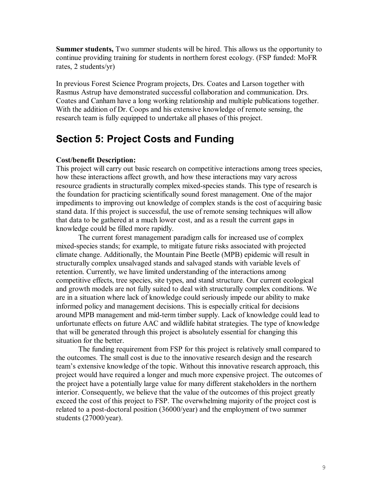**Summer students,** Two summer students will be hired. This allows us the opportunity to continue providing training for students in northern forest ecology. (FSP funded: MoFR rates, 2 students/yr)

In previous Forest Science Program projects, Drs. Coates and Larson together with Rasmus Astrup have demonstrated successful collaboration and communication. Drs. Coates and Canham have a long working relationship and multiple publications together. With the addition of Dr. Coops and his extensive knowledge of remote sensing, the research team is fully equipped to undertake all phases of this project.

# **Section 5: Project Costs and Funding**

## **Cost/benefit Description:**

This project will carry out basic research on competitive interactions among trees species, how these interactions affect growth, and how these interactions may vary across resource gradients in structurally complex mixed-species stands. This type of research is the foundation for practicing scientifically sound forest management. One of the major impediments to improving out knowledge of complex stands is the cost of acquiring basic stand data. If this project is successful, the use of remote sensing techniques will allow that data to be gathered at a much lower cost, and as a result the current gaps in knowledge could be filled more rapidly.

The current forest management paradigm calls for increased use of complex mixed-species stands; for example, to mitigate future risks associated with projected climate change. Additionally, the Mountain Pine Beetle (MPB) epidemic will result in structurally complex unsalvaged stands and salvaged stands with variable levels of retention. Currently, we have limited understanding of the interactions among competitive effects, tree species, site types, and stand structure. Our current ecological and growth models are not fully suited to deal with structurally complex conditions. We are in a situation where lack of knowledge could seriously impede our ability to make informed policy and management decisions. This is especially critical for decisions around MPB management and mid-term timber supply. Lack of knowledge could lead to unfortunate effects on future AAC and wildlife habitat strategies. The type of knowledge that will be generated through this project is absolutely essential for changing this situation for the better.

The funding requirement from FSP for this project is relatively small compared to the outcomes. The small cost is due to the innovative research design and the research team's extensive knowledge of the topic. Without this innovative research approach, this project would have required a longer and much more expensive project. The outcomes of the project have a potentially large value for many different stakeholders in the northern interior. Consequently, we believe that the value of the outcomes of this project greatly exceed the cost of this project to FSP. The overwhelming majority of the project cost is related to a post-doctoral position (36000/year) and the employment of two summer students (27000/year).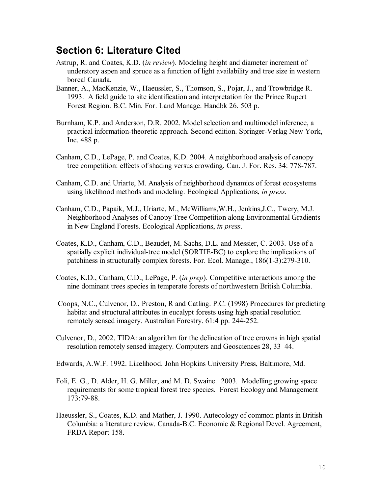# **Section 6: Literature Cited**

- Astrup, R. and Coates, K.D. (*in review*). Modeling height and diameter increment of understory aspen and spruce as a function of light availability and tree size in western boreal Canada.
- Banner, A., MacKenzie, W., Haeussler, S., Thomson, S., Pojar, J., and Trowbridge R. 1993. A field guide to site identification and interpretation for the Prince Rupert Forest Region. B.C. Min. For. Land Manage. Handbk 26. 503 p.
- Burnham, K.P. and Anderson, D.R. 2002. Model selection and multimodel inference, a practical information-theoretic approach. Second edition. Springer-Verlag New York, Inc. 488 p.
- Canham, C.D., LePage, P. and Coates, K.D. 2004. A neighborhood analysis of canopy tree competition: effects of shading versus crowding. Can. J. For. Res. 34: 778-787.
- Canham, C.D. and Uriarte, M. Analysis of neighborhood dynamics of forest ecosystems using likelihood methods and modeling. Ecological Applications, *in press.*
- Canham, C.D., Papaik, M.J., Uriarte, M., McWilliams,W.H., Jenkins,J.C., Twery, M.J. Neighborhood Analyses of Canopy Tree Competition along Environmental Gradients in New England Forests. Ecological Applications, *in press*.
- Coates, K.D., Canham, C.D., Beaudet, M. Sachs, D.L. and Messier, C. 2003. Use of a spatially explicit individual-tree model (SORTIE-BC) to explore the implications of patchiness in structurally complex forests. For. Ecol. Manage., 186(1-3):279-310.
- Coates, K.D., Canham, C.D., LePage, P. (*in prep*). Competitive interactions among the nine dominant trees species in temperate forests of northwestern British Columbia.
- Coops, N.C., Culvenor, D., Preston, R and Catling. P.C. (1998) Procedures for predicting habitat and structural attributes in eucalypt forests using high spatial resolution remotely sensed imagery. Australian Forestry. 61:4 pp. 244-252.
- Culvenor, D., 2002. TIDA: an algorithm forthe delineation of tree crowns in high spatial resolution remotely sensed imagery. Computers and Geosciences 28, 33–44.
- Edwards, A.W.F. 1992. Likelihood. John Hopkins University Press, Baltimore, Md.
- Foli, E. G., D. Alder, H. G. Miller, and M. D. Swaine. 2003. Modelling growing space requirements for some tropical forest tree species. Forest Ecology and Management 173:79-88.
- Haeussler, S., Coates, K.D. and Mather, J. 1990. Autecology of common plants in British Columbia: a literature review. Canada-B.C. Economic & Regional Devel. Agreement, FRDA Report 158.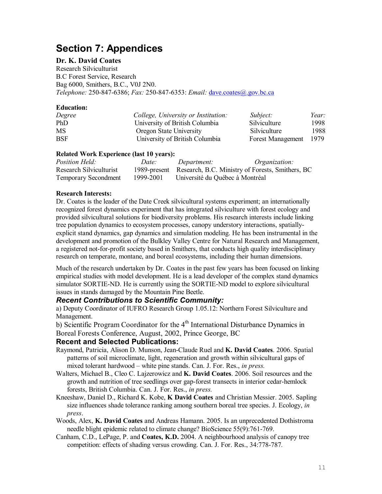# **Section 7: Appendices**

## **Dr. K. David Coates**

Research Silviculturist B.C Forest Service, Research Bag 6000, Smithers, B.C., V0J 2N0. *Telephone:* 250-847-6386; *Fax:* 250-847-6353: *Email:* dave.coates@.gov.bc.ca

## **Education:**

| Degree     | College, University or Institution: | Subject:                 | Year: |
|------------|-------------------------------------|--------------------------|-------|
| <b>PhD</b> | University of British Columbia      | <b>Silviculture</b>      | 1998  |
| MS         | Oregon State University             | Silviculture             | 1988  |
| <b>BSF</b> | University of British Columbia      | <b>Forest Management</b> | 1979  |

#### **Related Work Experience (last 10 years):**

| <i>Position Held:</i>       | Date:     | Department:                     | <i>Organization:</i>                                          |
|-----------------------------|-----------|---------------------------------|---------------------------------------------------------------|
| Research Silviculturist     |           |                                 | 1989-present Research, B.C. Ministry of Forests, Smithers, BC |
| <b>Temporary Secondment</b> | 1999-2001 | Université du Québec à Montréal |                                                               |

## **Research Interests:**

Dr. Coates is the leader of the Date Creek silvicultural systems experiment; an internationally recognized forest dynamics experiment that has integrated silviculture with forest ecology and provided silvicultural solutions for biodiversity problems. His research interests include linking tree population dynamics to ecosystem processes, canopy understory interactions, spatially explicit stand dynamics, gap dynamics and simulation modeling. He has been instrumental in the development and promotion of the Bulkley Valley Centre for Natural Research and Management, a registered not-for-profit society based in Smithers, that conducts high quality interdisciplinary research on temperate, montane, and boreal ecosystems, including their human dimensions.

Much of the research undertaken by Dr. Coates in the past few years has been focused on linking empirical studies with model development. He is a lead developer of the complex stand dynamics simulator SORTIE-ND. He is currently using the SORTIE-ND model to explore silvicultural issues in stands damaged by the Mountain Pine Beetle.

# *Recent Contributions to Scientific Community:*

a) Deputy Coordinator of IUFRO Research Group 1.05.12: Northern Forest Silviculture and Management.

b) Scientific Program Coordinator for the 4<sup>th</sup> International Disturbance Dynamics in Boreal Forests Conference, August, 2002, Prince George, BC

## **Recent and Selected Publications:**

- Raymond, Patricia, Alison D. Munson, JeanClaude Ruel and **K. David Coates**. 2006. Spatial patterns of soil microclimate, light, regeneration and growth within silvicultural gaps of mixed tolerant hardwood – white pine stands. Can. J. For. Res., *in press.*
- Walters, Michael B., Cleo C. Lajzerowicz and **K. David Coates**. 2006. Soil resources and the growth and nutrition of tree seedlings over gap-forest transects in interior cedar-hemlock forests, British Columbia. Can. J. For. Res., *in press.*
- Kneeshaw, Daniel D., Richard K. Kobe, **K David Coates** and Christian Messier. 2005. Sapling size influences shade tolerance ranking among southern boreal tree species. J. Ecology, *in press*.
- Woods, Alex, **K. David Coates** and Andreas Hamann. 2005. Is an unprecedented Dothistroma needle blight epidemic related to climate change? BioScience 55(9):761-769.
- Canham, C.D., LePage, P. and **Coates, K.D.** 2004. A neighbourhood analysis of canopy tree competition: effects of shading versus crowding. Can. J. For. Res., 34:778-787.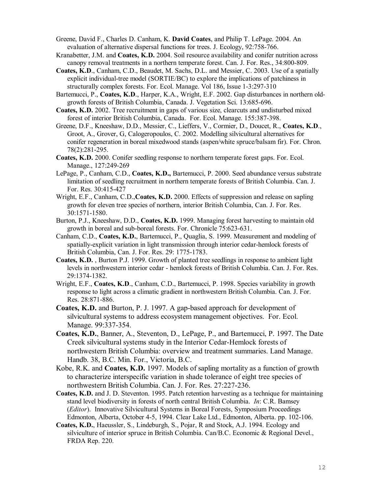- Greene, David F., Charles D. Canham, K. **David Coates**, and Philip T. LePage. 2004. An evaluation of alternative dispersal functions for trees. J. Ecology, 92:758-766.
- Kranabetter, J.M. and **Coates, K.D.** 2004. Soil resource availability and conifer nutrition across canopy removal treatments in a northern temperate forest. Can. J. For. Res., 34:800-809.
- **Coates, K.D**., Canham, C.D., Beaudet, M. Sachs, D.L. and Messier, C. 2003. Use of a spatially explicit individual-tree model (SORTIE/BC) to explore the implications of patchiness in structurally complex forests. For. Ecol. Manage. Vol 186, Issue 1-3:297-310
- Bartemucci, P., **Coates, K.D**., Harper, K.A., Wright, E.F. 2002. Gap disturbances in northern old growth forests of British Columbia, Canada. J. Vegetation Sci. 13:685-696.
- **Coates, K.D.** 2002. Tree recruitment in gaps of various size, clearcuts and undisturbed mixed forest of interior British Columbia, Canada. For. Ecol. Manage. 155:387-398.
- Greene, D.F., Kneeshaw, D.D., Messier, C., Lieffers, V., Cormier, D., Doucet, R., **Coates, K.D**., Groot, A., Grover, G, Calogeropoulos, C. 2002. Modelling silvicultural alternatives for conifer regeneration in boreal mixedwood stands (aspen/white spruce/balsam fir). For. Chron. 78(2):281295.
- **Coates, K.D.** 2000. Conifer seedling response to northern temperate forest gaps. For. Ecol. Manage., 127:249-269
- LePage, P., Canham, C.D., **Coates, K.D.,** Bartemucci, P. 2000. Seed abundance versus substrate limitation of seedling recruitment in northern temperate forests of British Columbia. Can. J. For. Res. 30:415-427
- Wright, E.F., Canham, C.D.,**Coates, K.D.** 2000. Effects of suppression and release on sapling growth for eleven tree species of northern, interior British Columbia, Can. J. For. Res. 30:1571-1580.
- Burton, P.J., Kneeshaw, D.D., **Coates, K.D.** 1999. Managing forest harvesting to maintain old growth in boreal and sub-boreal forests. For. Chronicle 75:623-631.
- Canham, C.D., **Coates, K.D.**, Bartemucci, P., Quaglia, S. 1999. Measurement and modeling of spatially-explicit variation in light transmission through interior cedar-hemlock forests of British Columbia, Can. J. For. Res. 29: 1775-1783.
- **Coates, K.D.** , Burton P.J. 1999. Growth of planted tree seedlings in response to ambient light levels in northwestern interior cedar hemlock forests of British Columbia. Can. J. For. Res. 29:13741382.
- Wright, E.F., **Coates, K.D**., Canham, C.D., Bartemucci, P. 1998. Species variability in growth response to light across a climatic gradient in northwestern British Columbia. Can. J. For. Res. 28:871-886.
- Coates, K.D. and Burton, P. J. 1997. A gap-based approach for development of silvicultural systems to address ecosystem management objectives. For. Ecol. Manage. 99:337-354.
- **Coates, K.D.**, Banner, A., Steventon, D., LePage, P., and Bartemucci, P. 1997. The Date Creek silvicultural systems study in the Interior Cedar-Hemlock forests of northwestern British Columbia: overview and treatment summaries. Land Manage. Handb. 38, B.C. Min. For., Victoria, B.C.
- Kobe, R.K. and **Coates, K.D.** 1997. Models of sapling mortality as a function of growth to characterize interspecific variation in shade tolerance of eight tree species of northwestern British Columbia. Can. J. For. Res. 27:227-236.
- **Coates, K.D.** and J. D. Steventon. 1995. Patch retention harvesting as a technique for maintaining stand level biodiversity in forests of north central British Columbia. *In*: C.R. Bamsey (*Editor*). Innovative Silvicultural Systems in Boreal Forests, Symposium Proceedings Edmonton, Alberta, October 4-5, 1994. Clear Lake Ltd., Edmonton, Alberta. pp. 102-106.
- **Coates, K.D.**, Haeussler, S., Lindeburgh, S., Pojar, R and Stock, A.J. 1994. Ecology and silviculture of interior spruce in British Columbia. Can/B.C. Economic & Regional Devel., FRDA Rep. 220.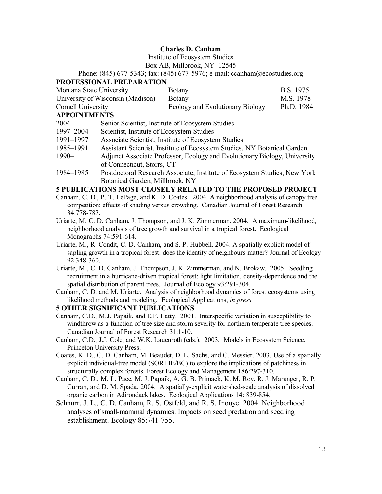#### **Charles D. Canham**

Institute of Ecosystem Studies

Box AB, Millbrook, NY 12545

Phone: (845) 677-5343; fax: (845) 677-5976; e-mail: ccanham@ecostudies.org **PROFESSIONAL PREPARATION**

| Montana State University          | <b>Botany</b>                    | B.S. 1975  |
|-----------------------------------|----------------------------------|------------|
| University of Wisconsin (Madison) | Botany                           | M.S. 1978  |
| Cornell University                | Ecology and Evolutionary Biology | Ph.D. 1984 |
|                                   |                                  |            |

#### **APPOINTMENTS**

| 2004- |  | Senior Scientist, Institute of Ecosystem Studies |  |
|-------|--|--------------------------------------------------|--|
|       |  |                                                  |  |

- 1997–2004 Scientist, Institute of Ecosystem Studies
- 1991–1997 Associate Scientist, Institute of Ecosystem Studies<br>1985–1991 Assistant Scientist, Institute of Ecosystem Studies.
- Assistant Scientist, Institute of Ecosystem Studies, NY Botanical Garden
- 1990– Adjunct Associate Professor, Ecology and Evolutionary Biology, University of Connecticut, Storrs, CT
- 1984–1985 Postdoctoral Research Associate, Institute of Ecosystem Studies, New York Botanical Garden, Millbrook, NY

## **5 PUBLICATIONS MOST CLOSELY RELATED TO THE PROPOSED PROJECT**

- Canham, C. D., P. T. LePage, and K. D. Coates. 2004. A neighborhood analysis of canopy tree competition: effects of shading versus crowding. Canadian Journal of Forest Research 34:778-787.
- Uriarte, M, C. D. Canham, J. Thompson, and J. K. Zimmerman. 2004. A maximum-likelihood, neighborhood analysis of tree growth and survival in a tropical forest**.** Ecological Monographs 74:591-614.
- Uriarte, M., R. Condit, C. D. Canham, and S. P. Hubbell. 2004. A spatially explicit model of sapling growth in a tropical forest: does the identity of neighbours matter? Journal of Ecology 92:348-360.
- Uriarte, M., C. D. Canham, J. Thompson, J. K. Zimmerman, and N. Brokaw. 2005. Seedling recruitment in a hurricane-driven tropical forest: light limitation, density-dependence and the spatial distribution of parent trees. Journal of Ecology 93:291-304.
- Canham, C. D. and M. Uriarte. Analysis of neighborhood dynamics of forest ecosystems using likelihood methods and modeling. Ecological Applications, *in press*

#### **5 OTHER SIGNIFICANT PUBLICATIONS**

- Canham, C.D., M.J. Papaik, and E.F. Latty. 2001. Interspecific variation in susceptibility to windthrow as a function of tree size and storm severity for northern temperate tree species. Canadian Journal of Forest Research 31:1-10.
- Canham, C.D., J.J. Cole, and W.K. Lauenroth (eds.). 2003*.* Models in Ecosystem Science. Princeton University Press.
- Coates, K. D., C. D. Canham, M. Beaudet, D. L. Sachs, and C. Messier. 2003. Use of a spatially explicit individual-tree model (SORTIE/BC) to explore the implications of patchiness in structurally complex forests. Forest Ecology and Management 186:297-310.
- Canham, C. D., M. L. Pace, M. J. Papaik, A. G. B. Primack, K. M. Roy, R. J. Maranger, R. P. Curran, and D. M. Spada. 2004. A spatially-explicit watershed-scale analysis of dissolved organic carbon in Adirondack lakes. Ecological Applications 14: 839-854.
- Schnurr, J. L., C. D. Canham, R. S. Ostfeld, and R. S. Inouye. 2004. Neighborhood analyses of small-mammal dynamics: Impacts on seed predation and seedling establishment. Ecology 85:741-755.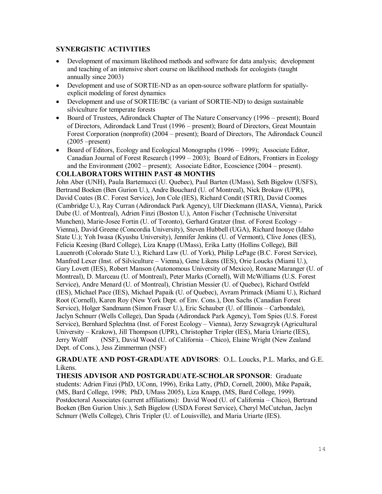## **SYNERGISTIC ACTIVITIES**

- Development of maximum likelihood methods and software for data analysis; development and teaching of an intensive short course on likelihood methods for ecologists (taught annually since 2003)
- Development and use of SORTIE-ND as an open-source software platform for spatiallyexplicit modeling of forest dynamics
- Development and use of SORTIE/BC (a variant of SORTIE-ND) to design sustainable silviculture for temperate forests
- Board of Trustees, Adirondack Chapter of The Nature Conservancy (1996 present); Board of Directors, Adirondack Land Trust (1996 – present); Board of Directors, Great Mountain Forest Corporation (nonprofit) (2004 – present); Board of Directors, The Adirondack Council  $(2005 - \text{present})$
- Board of Editors, Ecology and Ecological Monographs (1996 1999); Associate Editor, Canadian Journal of Forest Research (1999 – 2003); Board of Editors, Frontiers in Ecology and the Environment (2002 – present); Associate Editor, Ecoscience (2004 – present).

#### **COLLABORATORS WITHIN PAST 48 MONTHS**

John Aber (UNH), Paula Bartemucci (U. Quebec), Paul Barten (UMass), Seth Bigelow (USFS), Bertrand Boeken (Ben Gurion U.), Andre Bouchard (U. of Montreal), Nick Brokaw (UPR), David Coates (B.C. Forest Service), Jon Cole (IES), Richard Condit (STRI), David Coomes (Cambridge U.), Ray Curran (Adirondack Park Agency), Ulf Dieckmann (IIASA, Vienna), Parick Dube (U. of Montreal), Adrien Finzi (Boston U.), Anton Fischer (Technische Universitat Munchen), Marie-Josee Fortin (U. of Toronto), Gerhard Gratzer (Inst. of Forest Ecology -Vienna), David Greene (Concordia University), Steven Hubbell (UGA), Richard Inouye (Idaho State U.); Yoh Iwasa (Kyushu University), Jennifer Jenkins (U. of Vermont), Clive Jones (IES), Felicia Keesing (Bard College), Liza Knapp (UMass), Erika Latty (Hollins College), Bill Lauenroth (Colorado State U.), Richard Law (U. of York), Philip LePage (B.C. Forest Service), Manfred Lexer (Inst. of Silviculture – Vienna), Gene Likens (IES), Orie Loucks (Miami U.), Gary Lovett (IES), Robert Manson (Autonomous University of Mexico), Roxane Maranger (U. of Montreal), D. Marceau (U. of Montreal), Peter Marks (Cornell), Will McWilliams (U.S. Forest Service), Andre Menard (U. of Montreal), Christian Messier (U. of Quebec), Richard Ostfeld (IES), Michael Pace (IES), Michael Papaik (U. of Quebec), Avram Primack (Miami U.), Richard Root (Cornell), Karen Roy (New York Dept. of Env. Cons.), Don Sachs (Canadian Forest Service), Holger Sandmann (Simon Fraser U.), Eric Schauber (U. of Illinois – Carbondale), Jaclyn Schnurr (Wells College), Dan Spada (Adirondack Park Agency), Tom Spies (U.S. Forest Service), Bernhard Splechtna (Inst. of Forest Ecology – Vienna), Jerzy Szwagrzyk (Agricultural University – Krakow), Jill Thompson (UPR), Christopher Tripler (IES), Maria Uriarte (IES), Jerry Wolff (NSF), David Wood (U. of California – Chico), Elaine Wright (New Zealand Dept. of Cons.), Jess Zimmerman (NSF)

**GRADUATE AND POST-GRADUATE ADVISORS: O.L. Loucks, P.L. Marks, and G.E.** Likens.

**THESIS ADVISOR AND POSTGRADUATESCHOLAR SPONSOR**: Graduate students: Adrien Finzi (PhD, UConn, 1996), Erika Latty, (PhD, Cornell, 2000), Mike Papaik, (MS, Bard College, 1998; PhD, UMass 2005), Liza Knapp, (MS, Bard College, 1999). Postdoctoral Associates (current affiliations): David Wood (U. of California – Chico), Bertrand Boeken (Ben Gurion Univ.), Seth Bigelow (USDA Forest Service), Cheryl McCutchan, Jaclyn Schnurr (Wells College), Chris Tripler (U. of Louisville), and Maria Uriarte (IES).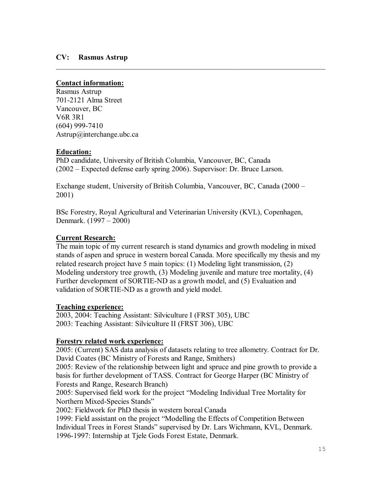## **CV: Rasmus Astrup**

# **Contact information:**

Rasmus Astrup 7012121 Alma Street Vancouver, BC V6R 3R1  $(604)$  999-7410 Astrup@interchange.ubc.ca

# **Education:**

PhD candidate, University of British Columbia, Vancouver, BC, Canada (2002 – Expected defense early spring 2006). Supervisor: Dr. Bruce Larson.

Exchange student, University of British Columbia, Vancouver, BC, Canada (2000 – 2001)

 $\mathcal{L}_\text{G}$  , and the contribution of the contribution of the contribution of the contribution of the contribution of the contribution of the contribution of the contribution of the contribution of the contribution of t

BSc Forestry, Royal Agricultural and Veterinarian University (KVL), Copenhagen, Denmark. (1997 – 2000)

# **Current Research:**

The main topic of my current research is stand dynamics and growth modeling in mixed stands of aspen and spruce in western boreal Canada. More specifically my thesis and my related research project have 5 main topics: (1) Modeling light transmission, (2) Modeling understory tree growth, (3) Modeling juvenile and mature tree mortality, (4) Further development of SORTIE-ND as a growth model, and (5) Evaluation and validation of SORTIE-ND as a growth and yield model.

# **Teaching experience:**

2003, 2004: Teaching Assistant: Silviculture I (FRST 305), UBC 2003: Teaching Assistant: Silviculture II (FRST 306), UBC

# **Forestry related work experience:**

2005: (Current) SAS data analysis of datasets relating to tree allometry. Contract for Dr. David Coates (BC Ministry of Forests and Range, Smithers)

2005: Review of the relationship between light and spruce and pine growth to provide a basis for further development of TASS. Contract for George Harper (BC Ministry of Forests and Range, Research Branch)

2005: Supervised field work for the project "Modeling Individual Tree Mortality for Northern Mixed-Species Stands"

2002: Fieldwork for PhD thesis in western boreal Canada

1999: Field assistant on the project "Modelling the Effects of Competition Between Individual Trees in Forest Stands" supervised by Dr. Lars Wichmann, KVL, Denmark. 1996-1997: Internship at Tjele Gods Forest Estate, Denmark.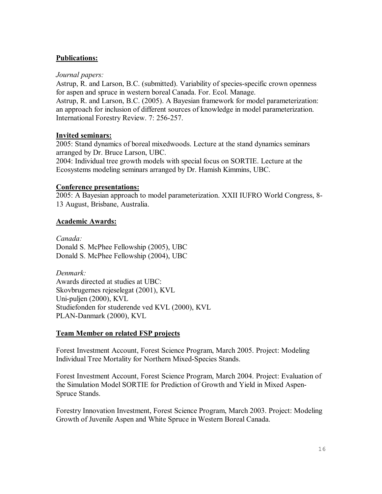# **Publications:**

# *Journal papers:*

Astrup, R. and Larson, B.C. (submitted). Variability of species-specific crown openness for aspen and spruce in western boreal Canada. For. Ecol. Manage.

Astrup, R. and Larson, B.C. (2005). A Bayesian framework for model parameterization: an approach for inclusion of different sources of knowledge in model parameterization. International Forestry Review. 7: 256-257.

# **Invited seminars:**

2005: Stand dynamics of boreal mixedwoods. Lecture at the stand dynamics seminars arranged by Dr. Bruce Larson, UBC.

2004: Individual tree growth models with special focus on SORTIE. Lecture at the Ecosystems modeling seminars arranged by Dr. Hamish Kimmins, UBC.

# **Conference presentations:**

2005: A Bayesian approach to model parameterization. XXII IUFRO World Congress, 8 13 August, Brisbane, Australia.

# **Academic Awards:**

*Canada:* Donald S. McPhee Fellowship (2005), UBC Donald S. McPhee Fellowship (2004), UBC

*Denmark:* Awards directed at studies at UBC: Skovbrugernes rejeselegat (2001), KVL Uni-puljen (2000), KVL Studiefonden for studerende ved KVL (2000), KVL PLAN-Danmark (2000), KVL

# **Team Member on related FSP projects**

Forest Investment Account, Forest Science Program, March 2005. Project: Modeling Individual Tree Mortality for Northern Mixed-Species Stands.

Forest Investment Account, Forest Science Program, March 2004. Project: Evaluation of the Simulation Model SORTIE for Prediction of Growth and Yield in Mixed Aspen Spruce Stands.

Forestry Innovation Investment, Forest Science Program, March 2003. Project: Modeling Growth of Juvenile Aspen and White Spruce in Western Boreal Canada.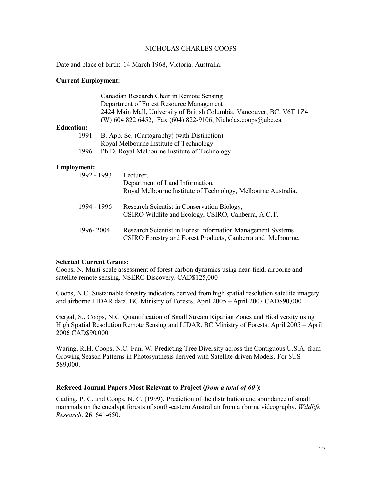#### NICHOLAS CHARLES COOPS

Date and place of birth: 14 March 1968, Victoria. Australia.

#### **Current Employment:**

|                    | Canadian Research Chair in Remote Sensing                                                          |
|--------------------|----------------------------------------------------------------------------------------------------|
|                    | Department of Forest Resource Management                                                           |
|                    | 2424 Main Mall, University of British Columbia, Vancouver, BC. V6T 1Z4.                            |
|                    | (W) 604 822 6452, Fax (604) 822-9106, Nicholas.coops@ubc.ca                                        |
| <b>Education:</b>  |                                                                                                    |
| 1991               | B. App. Sc. (Cartography) (with Distinction)                                                       |
|                    | Royal Melbourne Institute of Technology                                                            |
| 1996               | Ph.D. Royal Melbourne Institute of Technology                                                      |
| <b>Employment:</b> |                                                                                                    |
| 1992 - 1993        | Lecturer,                                                                                          |
|                    | Department of Land Information,                                                                    |
|                    | Royal Melbourne Institute of Technology, Melbourne Australia.                                      |
| 1994 - 1996        | Research Scientist in Conservation Biology,<br>CSIRO Wildlife and Ecology, CSIRO, Canberra, A.C.T. |

| 1996-2004 | Research Scientist in Forest Information Management Systems |
|-----------|-------------------------------------------------------------|
|           | CSIRO Forestry and Forest Products, Canberra and Melbourne. |

#### **Selected Current Grants:**

Coops, N. Multi-scale assessment of forest carbon dynamics using near-field, airborne and satellite remote sensing. NSERC Discovery. CAD\$125,000

Coops, N.C. Sustainable forestry indicators derived from high spatial resolution satellite imagery and airborne LIDAR data. BC Ministry of Forests. April 2005 – April 2007 CAD\$90,000

Gergal, S., Coops, N.C Quantification of Small Stream Riparian Zones and Biodiversity using High Spatial Resolution Remote Sensing and LIDAR. BC Ministry of Forests. April 2005 – April 2006 CAD\$90,000

Waring, R.H. Coops, N.C. Fan, W. Predicting Tree Diversity across the Contiguous U.S.A. from Growing Season Patterns in Photosynthesis derived with Satellite-driven Models. For \$US 589,000.

#### **Refereed Journal Papers Most Relevant to Project (***from a total of 60* **):**

Catling, P. C. and Coops, N. C. (1999). Prediction of the distribution and abundance of small mammals on the eucalypt forests of south-eastern Australian from airborne videography. *Wildlife Research.* **26**: 641-650.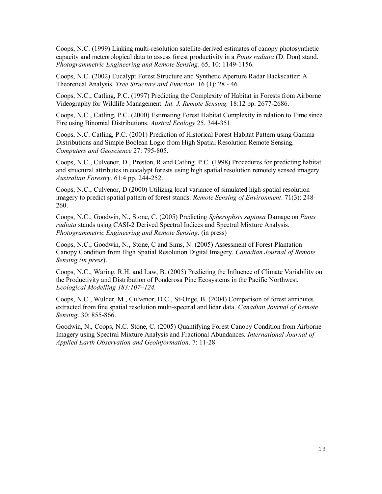Coops, N.C. (1999) Linking multi-resolution satellite-derived estimates of canopy photosynthetic capacity and meteorological data to assess forest productivity in a *Pinus radiata* (D. Don) stand. *Photogrammetric Engineering and Remote Sensing.* 65, 10: 1149-1156.

Coops, N.C. (2002) Eucalypt Forest Structure and Synthetic Aperture Radar Backscatter: A Theoretical Analysis. *Tree Structure and Function*. 16 (1): 28 46

Coops, N.C., Catling, P.C. (1997) Predicting the Complexity of Habitat in Forests from Airborne Videography for Wildlife Management. *Int. J. Remote Sensing.* 18:12 pp. 2677-2686.

Coops, N.C., Catling, P.C. (2000) Estimating Forest Habitat Complexity in relation to Time since Fire using Binomial Distributions. *Austral Ecology* 25, 344-351.

Coops, N.C. Catling, P.C. (2001) Prediction of Historical Forest Habitat Pattern using Gamma Distributions and Simple Boolean Logic from High Spatial Resolution Remote Sensing. *Computers and Geoscience* 27: 795-805.

Coops, N.C., Culvenor, D., Preston, R and Catling. P.C. (1998) Procedures for predicting habitat and structural attributes in eucalypt forests using high spatial resolution remotely sensed imagery. *Australian Forestry*. 61:4 pp. 244-252.

Coops, N.C., Culvenor, D (2000) Utilizing local variance of simulated high-spatial resolution imagery to predict spatial pattern of forest stands. *Remote Sensing of Environment*. 71(3): 248 260.

Coops, N.C., Goodwin, N., Stone, C. (2005) Predicting *Spherophsis sapinea* Damage on *Pinus radiata* stands using CASI-2 Derived Spectral Indices and Spectral Mixture Analysis. *Photogrammetric Engineering and Remote Sensing*. (in press)

Coops, N.C., Goodwin, N., Stone, C and Sims, N. (2005) Assessment of Forest Plantation Canopy Condition from High Spatial Resolution Digital Imagery. *Canadian Journal of Remote Sensing (in press*).

Coops, N.C., Waring, R.H. and Law, B. (2005) Predicting the Influence of Climate Variability on the Productivity and Distribution of Ponderosa Pine Ecosystems in the Pacific Northwest*. Ecological Modelling 183:107–124.*

Coops, N.C., Wulder, M., Culvenor, D.C., St-Onge, B. (2004) Comparison of forest attributes extracted from fine spatial resolution multispectral and lidar data. *Canadian Journal of Remote Sensing.* 30: 855-866.

Goodwin, N., Coops, N.C. Stone, C. (2005) Quantifying Forest Canopy Condition from Airborne Imagery using Spectral Mixture Analysis and Fractional Abundances*. International Journal of Applied Earth Observation and Geoinformation*. 7: 1128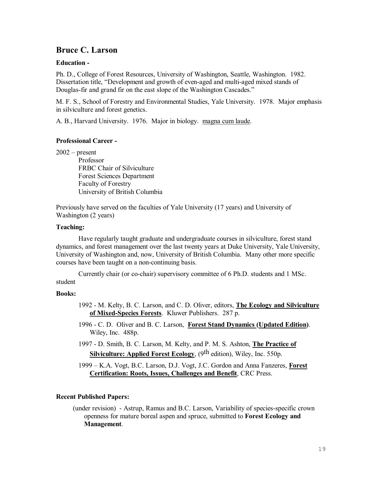# **Bruce C. Larson**

#### **Education**

Ph. D., College of Forest Resources, University of Washington, Seattle, Washington. 1982. Dissertation title, "Development and growth of even-aged and multi-aged mixed stands of Douglas-fir and grand fir on the east slope of the Washington Cascades."

M. F. S., School of Forestry and Environmental Studies, Yale University. 1978. Major emphasis in silviculture and forest genetics.

A. B., Harvard University. 1976. Major in biology. magna cum laude.

#### **Professional Career**

 $2002$  – present Professor FRBC Chair of Silviculture Forest Sciences Department Faculty of Forestry University of British Columbia

Previously have served on the faculties of Yale University (17 years) and University of Washington (2 years)

#### **Teaching:**

Have regularly taught graduate and undergraduate courses in silviculture, forest stand dynamics, and forest management over the last twenty years at Duke University, Yale University, University of Washington and, now, University of British Columbia. Many other more specific courses have been taught on a non-continuing basis.

Currently chair (or cochair) supervisory committee of 6 Ph.D. students and 1 MSc. student

#### **Books:**

- 1992 M. Kelty, B. C. Larson, and C. D. Oliver, editors, **The Ecology and Silviculture** of Mixed-Species Forests. Kluwer Publishers. 287 p.
- 1996 C. D. Oliver and B. C. Larson, **Forest Stand Dynamics (Updated Edition)**. Wiley, Inc. 488p.
- 1997 D. Smith, B. C. Larson, M. Kelty, and P. M. S. Ashton, **The Practice of Silviculture: Applied Forest Ecology**, (9<sup>th</sup> edition), Wiley, Inc. 550p.

1999 – K.A. Vogt, B.C. Larson, D.J. Vogt, J.C. Gordon and Anna Fanzeres, **Forest Certification: Roots, Issues, Challenges and Benefit**, CRC Press.

#### **Recent Published Papers:**

(under revision) - Astrup, Ramus and B.C. Larson, Variability of species-specific crown openness for mature boreal aspen and spruce, submitted to **Forest Ecology and Management**.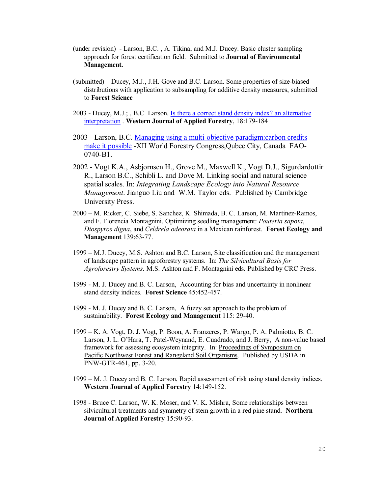- (under revision) Larson, B.C. , A. Tikina, and M.J. Ducey. Basic cluster sampling approach for forest certification field. Submitted to **Journal of Environmental Management.**
- (submitted) Ducey, M.J., J.H. Gove and B.C. Larson. Some properties of sizebiased distributions with application to subsampling for additive density measures, submitted to **Forest Science**
- 2003 Ducey, M.J.; , B.C Larson. Is there a correct stand density index? an alternative interpretation . **Western Journal of Applied Forestry**, 18:179184
- 2003 Larson, B.C. Managing using a multi-objective paradigm:carbon credits make it possible XII World Forestry Congress,Qubec City, Canada FAO  $0740 - B1$ .
- 2002 Vogt K.A., Asbjornsen H., Grove M., Maxwell K., Vogt D.J., Sigurdardottir R., Larson B.C., Schibli L. and Dove M. Linking social and natural science spatial scales. In: *Integrating Landscape Ecology into Natural Resource Management*. Jianguo Liu and W.M. Taylor eds. Published by Cambridge University Press.
- 2000 M. Ricker, C. Siebe, S. Sanchez, K. Shimada, B. C. Larson, M. Martinez-Ramos, and F. Florencia Montagnini, Optimizing seedling management: *Pouteria sapota*, *Diospyros digna*, and *Celdrela odeorata* in a Mexican rainforest. **Forest Ecology and Management** 139:63-77.
- 1999 M.J. Ducey, M.S. Ashton and B.C. Larson, Site classification and the management of landscape pattern in agroforestry systems. In: *The Silvicultural Basis for Agroforestry Systems*. M.S. Ashton and F. Montagnini eds. Published by CRC Press.
- 1999 M. J. Ducey and B. C. Larson, Accounting for bias and uncertainty in nonlinear stand density indices. **Forest Science** 45:452-457.
- 1999 M. J. Ducey and B. C. Larson, A fuzzy set approach to the problem of sustainability. **Forest Ecology and Management** 115: 29-40.
- 1999 K. A. Vogt, D. J. Vogt, P. Boon, A. Franzeres, P. Wargo, P. A. Palmiotto, B. C. Larson, J. L. O'Hara, T. Patel-Weynand, E. Cuadrado, and J. Berry, A non-value based framework for assessing ecosystem integrity. In: Proceedings of Symposium on Pacific Northwest Forest and Rangeland Soil Organisms. Published by USDA in PNW-GTR-461, pp. 3-20.
- 1999 M. J. Ducey and B. C. Larson, Rapid assessment of risk using stand density indices. **Western Journal of Applied Forestry** 14:149-152.
- 1998 Bruce C. Larson, W. K. Moser, and V. K. Mishra, Some relationships between silvicultural treatments and symmetry of stem growth in a red pine stand. **Northern Journal of Applied Forestry** 15:90-93.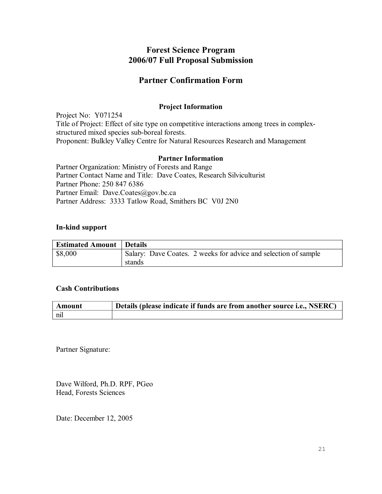# **Forest Science Program 2006/07 Full Proposal Submission**

# **Partner Confirmation Form**

# **Project Information**

Project No: Y071254 Title of Project: Effect of site type on competitive interactions among trees in complex structured mixed species sub-boreal forests. Proponent: Bulkley Valley Centre for Natural Resources Research and Management

## **Partner Information**

Partner Organization: Ministry of Forests and Range Partner Contact Name and Title: Dave Coates, Research Silviculturist Partner Phone: 250 847 6386 Partner Email: Dave.Coates@gov.bc.ca Partner Address: 3333 Tatlow Road, Smithers BC V0J 2N0

#### **In-kind support**

| <b>Estimated Amount   Details</b> |                                                                 |
|-----------------------------------|-----------------------------------------------------------------|
| \$8,000                           | Salary: Dave Coates. 2 weeks for advice and selection of sample |
|                                   | stands                                                          |

## **Cash Contributions**

| Amount | Details (please indicate if funds are from another source i.e., NSERC) |
|--------|------------------------------------------------------------------------|
| nil    |                                                                        |

Partner Signature:

Dave Wilford, Ph.D. RPF, PGeo Head, Forests Sciences

Date: December 12, 2005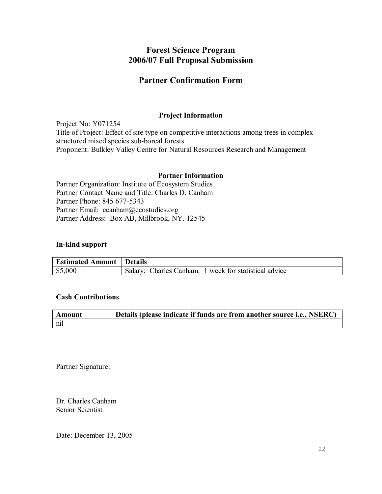# **Forest Science Program 2006/07 Full Proposal Submission**

# **Partner Confirmation Form**

## **Project Information**

Project No: Y071254 Title of Project: Effect of site type on competitive interactions among trees in complex structured mixed species sub-boreal forests. Proponent: Bulkley Valley Centre for Natural Resources Research and Management

#### **Partner Information**

Partner Organization: Institute of Ecosystem Studies Partner Contact Name and Title: Charles D. Canham Partner Phone: 845 677-5343 Partner Email: ccanham@ecostudies.org Partner Address: Box AB, Millbrook, NY. 12545

## **In-kind support**

| <b>Estimated Amount</b> | <b>Details</b>                                              |
|-------------------------|-------------------------------------------------------------|
| \$5,000                 | Charles Canham.<br>1 week for statistical advice<br>Salary: |

## **Cash Contributions**

| Amount  | Details (please indicate if funds are from another source i.e., NSERC) |
|---------|------------------------------------------------------------------------|
| $n_{1}$ |                                                                        |

Partner Signature:

Dr. Charles Canham Senior Scientist

Date: December 13, 2005